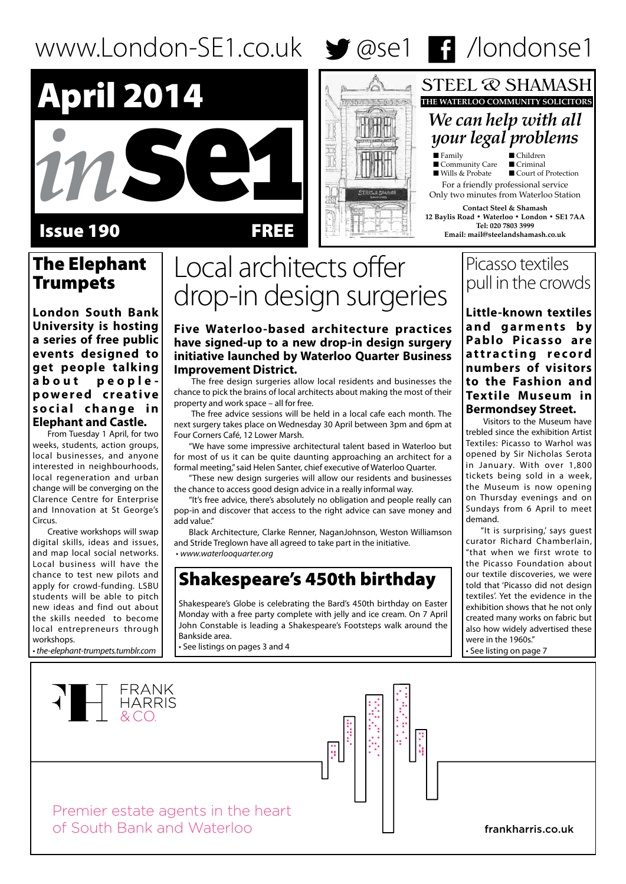# www.London-SE1.co.uk  $\blacktriangleright$  @se1 **F1** /londonse1



# Issue 190 FREE

# The Elephant **Trumpets**

**London South Bank University is hosting a series of free public events designed to get people talking about peoplep o w e r e d c r e a t i v e**  social change in **Elephant and Castle.** 

From Tuesday 1 April, for two weeks, students, action groups, local businesses, and anyone interested in neighbourhoods, local regeneration and urban change will be converging on the Clarence Centre for Enterprise and Innovation at St George's Circus.

Creative workshops will swap digital skills, ideas and issues, and map local social networks. Local business will have the chance to test new pilots and apply for crowd-funding. LSBU students will be able to pitch new ideas and find out about the skills needed to become local entrepreneurs through workshops.

• *the-elephant-trumpets.tumblr.com*

# Local architects offer drop-in design surgeries

**Five Waterloo-based architecture practices have signed-up to a new drop-in design surgery initiative launched by Waterloo Quarter Business Improvement District.** 

 The free design surgeries allow local residents and businesses the chance to pick the brains of local architects about making the most of their property and work space – all for free.

 The free advice sessions will be held in a local cafe each month. The next surgery takes place on Wednesday 30 April between 3pm and 6pm at Four Corners Café, 12 Lower Marsh.

"We have some impressive architectural talent based in Waterloo but for most of us it can be quite daunting approaching an architect for a formal meeting," said Helen Santer, chief executive of Waterloo Quarter.

"These new design surgeries will allow our residents and businesses the chance to access good design advice in a really informal way.

"It's free advice, there's absolutely no obligation and people really can pop-in and discover that access to the right advice can save money and add value."

Black Architecture, Clarke Renner, NaganJohnson, Weston Williamson and Stride Treglown have all agreed to take part in the initiative. • *www.waterlooquarter.org*

# Shakespeare's 450th birthday

Shakespeare's Globe is celebrating the Bard's 450th birthday on Easter Monday with a free party complete with jelly and ice cream. On 7 April John Constable is leading a Shakespeare's Footsteps walk around the Bankside area.

• See listings on pages 3 and 4

# Picasso textiles pull in the crowds

■ Court of Protection

*We can help with all your legal problems*

**THE WATERLOO COMMUNITY SOLICITORS**

**STEEL @ SHAMASH** 

For a friendly professional service Only two minutes from Waterloo Station **Contact Steel & Shamash 12 Baylis Road • Waterloo • London • SE1 7AA Tel: 020 7803 3999 Email: mail@steelandshamash.co.uk**

■ Family ■ Children<br>■ Community Care ■ Criminal

■ Community Care<br>■ Wills & Probate

the behavior

**Little-known textiles a n d g a r m e n t s b y Pablo Picasso are a t t r a c t i n g r e c o r d numbers of visitors to the Fashion and Textile Museum in Bermondsey Street.**

 Visitors to the Museum have trebled since the exhibition Artist Textiles: Picasso to Warhol was opened by Sir Nicholas Serota in January. With over 1,800 tickets being sold in a week, the Museum is now opening on Thursday evenings and on Sundays from 6 April to meet demand.

"It is surprising,' says guest curator Richard Chamberlain, "that when we first wrote to the Picasso Foundation about our textile discoveries, we were told that 'Picasso did not design textiles'. Yet the evidence in the exhibition shows that he not only created many works on fabric but also how widely advertised these were in the 1960s." • See listing on page 7

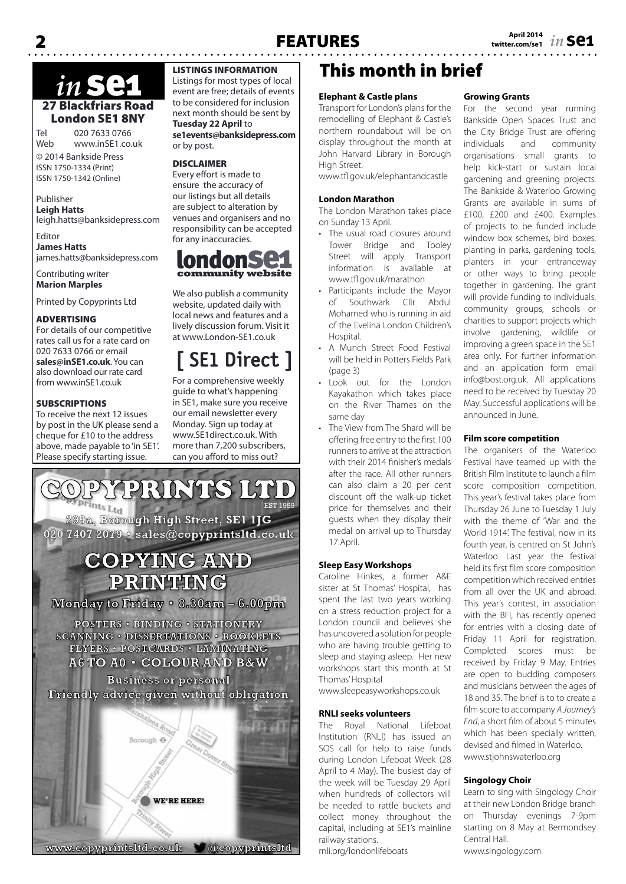# 27 Blackfriars Road London SE1 8NY *in* se1

Tel 020 7633 0766 www.inSE1.co.uk

© 2014 Bankside Press ISSN 1750-1334 (Print) ISSN 1750-1342 (Online)

### Publisher **Leigh Hatts**

leigh.hatts@banksidepress.com Editor

**James Hatts** james.hatts@banksidepress.com

Contributing writer **Marion Marples**

Printed by Copyprints Ltd

#### ADVERTISING

For details of our competitive rates call us for a rate card on 020 7633 0766 or email **sales@inSE1.co.uk**. You can also download our rate card from www.inSE1.co.uk

#### **SUBSCRIPTIONS**

To receive the next 12 issues by post in the UK please send a cheque for £10 to the address above, made payable to 'in SE1'. Please specify starting issue.

### LISTINGS INFORMATION

Listings for most types of local event are free; details of events to be considered for inclusion next month should be sent by **Tuesday 22 April** to **se1events@banksidepress.com** or by post.

#### DISCLAIMER

Every effort is made to ensure the accuracy of our listings but all details are subject to alteration by venues and organisers and no responsibility can be accepted for any inaccuracies.



We also publish a community website, updated daily with local news and features and a lively discussion forum. Visit it at www.London-SE1.co.uk

# **[ SE1 Direct ]**

For a comprehensive weekly guide to what's happening in SE1, make sure you receive our email newsletter every Monday. Sign up today at www.SE1direct.co.uk. With more than 7,200 subscribers, can you afford to miss out?



# This month in brief

## **Elephant & Castle plans**

Transport for London's plans for the remodelling of Elephant & Castle's northern roundabout will be on display throughout the month at John Harvard Library in Borough High Street.

www.tfl.gov.uk/elephantandcastle

#### **London Marathon**

The London Marathon takes place on Sunday 13 April.

- The usual road closures around Tower Bridge and Tooley Street will apply. Transport information is available at www.tfl.gov.uk/marathon
- • Participants include the Mayor of Southwark Cllr Abdul Mohamed who is running in aid of the Evelina London Children's Hospital.
- A Munch Street Food Festival will be held in Potters Fields Park (page 3)
- • Look out for the London Kayakathon which takes place on the River Thames on the same day
- The View from The Shard will be offering free entry to the first 100 runners to arrive at the attraction with their 2014 finisher's medals after the race. All other runners can also claim a 20 per cent discount off the walk-up ticket price for themselves and their guests when they display their medal on arrival up to Thursday 17 April.

#### **Sleep Easy Workshops**

Caroline Hinkes, a former A&E sister at St Thomas' Hospital, has spent the last two years working on a stress reduction project for a London council and believes she has uncovered a solution for people who are having trouble getting to sleep and staying asleep. Her new workshops start this month at St Thomas' Hospital

www.sleepeasyworkshops.co.uk

#### **RNLI seeks volunteers**

The Royal National Lifeboat Institution (RNLI) has issued an SOS call for help to raise funds during London Lifeboat Week (28 April to 4 May). The busiest day of the week will be Tuesday 29 April when hundreds of collectors will be needed to rattle buckets and collect money throughout the capital, including at SE1's mainline railway stations.

rnli.org/londonlifeboats

#### **Growing Grants**

For the second year running Bankside Open Spaces Trust and the City Bridge Trust are offering individuals and community organisations small grants to help kick-start or sustain local gardening and greening projects. The Bankside & Waterloo Growing Grants are available in sums of £100, £200 and £400. Examples of projects to be funded include window box schemes, bird boxes, planting in parks, gardening tools, planters in your entranceway or other ways to bring people together in gardening. The grant will provide funding to individuals, community groups, schools or charities to support projects which involve gardening, wildlife or improving a green space in the SE1 area only. For further information and an application form email info@bost.org.uk. All applications need to be received by Tuesday 20 May. Successful applications will be announced in June.

#### **Film score competition**

The organisers of the Waterloo Festival have teamed up with the British Film Institute to launch a film score composition competition. This year's festival takes place from Thursday 26 June to Tuesday 1 July with the theme of 'War and the World 1914'. The festival, now in its fourth year, is centred on St John's Waterloo. Last year the festival held its first film score composition competition which received entries from all over the UK and abroad. This year's contest, in association with the BFI, has recently opened for entries with a closing date of Friday 11 April for registration. Completed scores must be received by Friday 9 May. Entries are open to budding composers and musicians between the ages of 18 and 35. The brief is to to create a film score to accompany *A Journey's End*, a short film of about 5 minutes which has been specially written, devised and filmed in Waterloo. www.stjohnswaterloo.org

#### **Singology Choir**

Learn to sing with Singology Choir at their new London Bridge branch on Thursday evenings 7-9pm starting on 8 May at Bermondsey Central Hall. www.singology.com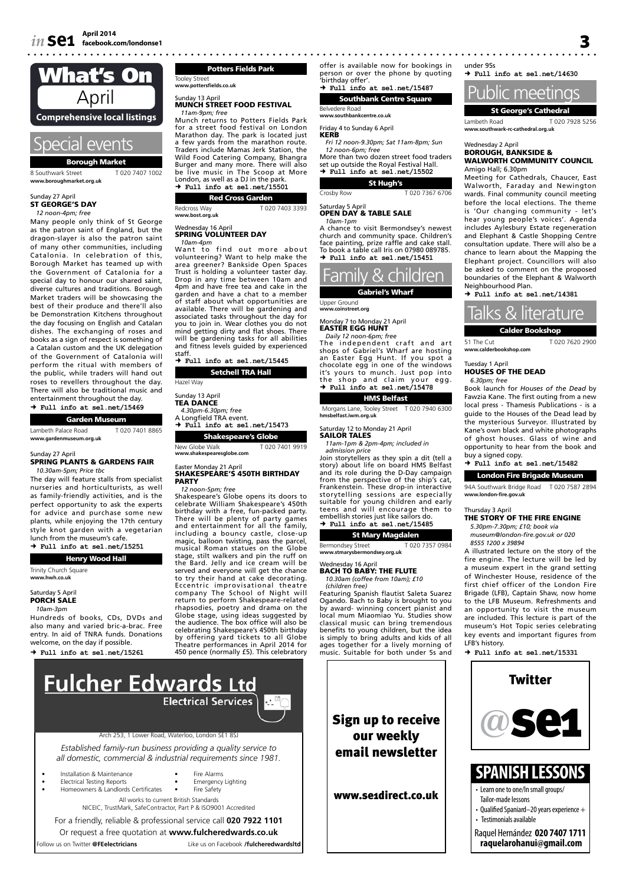

8 Southwark Street T 020 7407 1002 **www.boroughmarket.org.uk**

## Sunday 27 April<br>**ST GEORGE'S DAY**

*12 noon-4pm; free*

Many people only think of St George as the patron saint of England, but the dragon-slayer is also the patron saint of many other communities, including Catalonia. In celebration of this, Borough Market has teamed up with the Government of Catalonia for a special day to honour our shared saint, diverse cultures and traditions. Borough Market traders will be showcasing the best of their produce and there'll also be Demonstration Kitchens throughout the day focusing on English and Catalan dishes. The exchanging of roses and books as a sign of respect is something of a Catalan custom and the UK delegation of the Government of Catalonia will perform the ritual with members of the public, while traders will hand out roses to revellers throughout the day. There will also be traditional music and entertainment throughout the day.

| $\rightarrow$ Full info at sel.net/15469 |                |  |  |  |
|------------------------------------------|----------------|--|--|--|
| <b>Garden Museum</b>                     |                |  |  |  |
| Lambeth Palace Road                      | T020 7401 8865 |  |  |  |
| www.gardenmuseum.org.uk                  |                |  |  |  |

#### Sunday 27 April

#### SPRING PLANTS & GARDENS FAIR *10.30am-5pm; Price tbc*

The day will feature stalls from specialist nurseries and horticulturists, as well as family-friendly activities, and is the perfect opportunity to ask the experts for advice and purchase some new plants, while enjoying the 17th century style knot garden with a vegetarian lunch from the museum's cafe.

 **Full info at se1.net/15251**

Henry Wood Hall Trinity Church Square **www.hwh.co.uk**

#### Saturday 5 April PORCH SALE

*10am-3pm*

Hundreds of books, CDs, DVDs and also many and varied bric-a-brac. Free entry. In aid of TNRA funds. Donations welcome, on the day if possible.

 $\rightarrow$  Full info at sel net/15261

Potters Fields Park Tooley Street **www.pottersfields.co.uk** Sunday 13 April MUNCH STREET FOOD FESTIVAL *11am-9pm; free* Munch returns to Potters Fields Park for a street food festival on London

Marathon day. The park is located just a few yards from the marathon route. Traders include Mamas Jerk Station, the Wild Food Catering Company, Bhangra Burger and many more. There will also be live music in The Scoop at More London, as well as a DJ in the park.  **Full info at se1.net/15501**

Red Cross Garden

Redcross Way T 020 7403 3393 **www.bost.org.uk**

#### Wednesday 16 April<br>**SPRING VOLUNTEER DAY** *10am-4pm*

Want to find out more about volunteering? Want to help make the area greener? Bankside Open Spaces Trust is holding a volunteer taster day. Drop in any time between 10am and 4pm and have free tea and cake in the garden and have a chat to a member of staff about what opportunities are available. There will be gardening and associated tasks throughout the day for you to join in. Wear clothes you do not mind getting dirty and flat shoes. There will be gardening tasks for all abilities and fitness levels guided by experienced

staff.  **Full info at se1.net/15445**

Setchell TRA Hall Hazel Way

Sunday 13 April<br>**TEA DANCE** 

*4.30pm-6.30pm; free* A Longfield TRA event.  **Full info at se1.net/15473**

Shakespeare's Globe

#### New Globe Walk T 020 7401 9919 **www.shakespearesglobe.com** Easter Monday 21 April SHAKESPEARE'S 450TH BIRTHDAY

#### PARTY *12 noon-5pm; free*

Shakespeare's Globe opens its doors to celebrate William Shakespeare's 450th birthday with a free, fun-packed party.<br>There will be plenty of party games<br>and entertainment for all the family,<br>including a bouncy castle, close-up<br>magic, balloon twisting, pass the parcel,<br>musical Roman statues on the G stage, stilt walkers and pin the ruff on the Bard. Jelly and ice cream will be served and everyone will get the chance to try their hand at cake decorating. Eccentric improvisational theatre company The School of Night will return to perform Shakespeare-related rhapsodies, poetry and drama on the Globe stage, using ideas suggested by the audience. The box office will also be celebrating Shakespeare's 450th birthday by offering yard tickets to all Globe Theatre performances in April 2014 for 450 pence (normally £5). This celebratory



Or request a free quotation at **www.fulcheredwards.co.uk** Follow us on Twitter **@FEelectricians** Like us on Facebook **/fulcheredwardsltd** offer is available now for bookings in

person or over the phone by quoting 'birthday offer'.  **Full info at se1.net/15487**

Southbank Centre Square

#### Belvedere Road **www.southbankcentre.co.uk**

Friday 4 to Sunday 6 April

KERB *Fri 12 noon-9.30pm; Sat 11am-8pm; Sun* 

*12 noon-6pm; free* More than two dozen street food traders set up outside the Royal Festival Hall.

#### **Full info at se1.net/15502**

St Hugh's Crosby Row T 020 7367 6706

#### Saturday 5 April<br>**OPEN DAY & TABLE SALE** *10am-1pm*

A chance to visit Bermondsey's newest church and community space. Children's face painting, prize raffle and cake stall. To book a table call Iris on 07980 089785.  **Full info at se1.net/15451**



Upper Ground **www.coinstreet.org**

Monday 7 to Monday 21 April<br>**EASTER EGG HUNT** 

*Daily 12 noon-6pm; free* The independent craft and art shops of Gabriel's Wharf are hosting an Easter Egg Hunt. If you spot a chocolate egg in one of the windows it's yours to munch. Just pop into<br>the shop and claim your egg. the shop and claim your egg.  **Full info at se1.net/15478**

#### HMS Belfast

Morgans Lane, Tooley Street T 020 7940 6300 **hmsbelfast.iwm.org.uk**

Saturday 12 to Monday 21 April

*11am-1pm & 2pm-4pm; included in admission price*

Join storytellers as they spin a dit (tell a story) about life on board HMS Belfast and its role during the D-Day campaign from the perspective of the ship's cat, Frankenstein. These drop-in interactive storytelling sessions are especially suitable for young children and early teens and will encourage them to embellish stories just like sailors do.  **Full info at se1.net/15485**

#### St Mary Magdalen

Bermondsey Street T 020 7357 0984 **www.stmarysbermondsey.org.uk**

Wednesday 16 April

#### BACH TO BABY: THE FLUTE *10.30am (coffee from 10am); £10 (children free)*

Featuring Spanish flautist Saleta Suarez Ogando. Bach to Baby is brought to you by award- winning concert pianist and local mum Miaomiao Yu. Studies show classical music can bring tremendous benefits to young children, but the idea is simply to bring adults and kids of all ages together for a lively morning of music. Suitable for both under 5s and



under 95s  **Full info at se1.net/14630**



Lambeth Road T 020 7928 5256<br>www.southwark-rc-cathedral.org.uk www.southwark-rc-cath

#### Wednesday 2 April BOROUGH, BANKSIDE & WALWORTH COMMUNITY COUNCIL Amigo Hall; 6.30pm

Meeting for Cathedrals, Chaucer, East Walworth, Faraday and Newington wards. Final community council meeting before the local elections. The theme is 'Our changing community - let's hear young people's voices'. Agenda includes Aylesbury Estate regeneration and Elephant & Castle Shopping Centre consultation update. There will also be a chance to learn about the Mapping the Elephant project. Councillors will also be asked to comment on the proposed boundaries of the Elephant & Walworth Neighbourhood Plan.

 **Full info at se1.net/14381**



51 The Cut T 020 7620 2900 **www.calderbookshop.com**

Tuesday 1 April HOUSES OF THE DEAD

*6.30pm; free* Book launch for *Houses of the Dead* by Fawzia Kane. The first outing from a new local press - Thamesis Publications - is a guide to the Houses of the Dead lead by the mysterious Surveyor. Illustrated by Kane's own black and white photographs of ghost houses. Glass of wine and opportunity to hear from the book and buy a signed copy.  **Full info at se1.net/15482**

London Fire Brigade Museum

94A Southwark Bridge Road T 020 7587 2894 **www.london-fire.gov.uk**

#### Thursday 3 April

#### THE STORY OF THE FIRE ENGINE

*5.30pm-7.30pm; £10; book via museum@london-fire.gov.uk or 020 8555 1200 x 39894*

A illustrated lecture on the story of the fire engine. The lecture will be led by a museum expert in the grand setting of Winchester House, residence of the first chief officer of the London Fire Brigade (LFB), Captain Shaw, now home to the LFB Museum. Refreshments and an opportunity to visit the museum are included. This lecture is part of the museum's Hot Topic series celebrating key events and important figures from LFB's history.

 $+$   $Ful$  info at sel net/15331



SAILOR TALES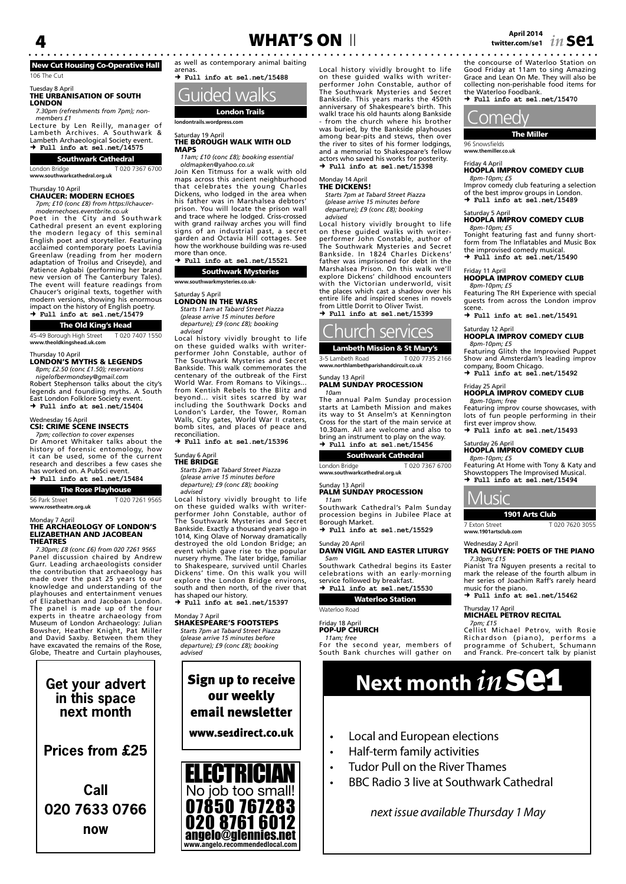# New Cut Housing Co-Operative Hall

106 The Cut

#### Tuesday 8 April THE URBANISATION OF SOUTH **LONDON**

*7.30pm (refreshments from 7pm); nonmembers £1*

Lecture by Len Reilly, manager of Lambeth Archives. A Southwark & Lambeth Archaeological Society event.  **Full info at se1.net/14575**

#### Southwark Cathedral

London Bridge T 020 7367 6700 **www.southwarkcathedral.org.uk**

#### Thursday 10 April

CHAUCER: MODERN ECHOES

*7pm; £10 (conc £8) from https://chaucermodernechoes.eventbrite.co.uk*

Poet in the City and Southwark Cathedral present an event exploring the modern legacy of this seminal English poet and storyteller. Featuring acclaimed contemporary poets Lavinia Greenlaw (reading from her modern adaptation of Troilus and Criseyde), and Patience Agbabi (performing her brand new version of The Canterbury Tales). The event will feature readings from Chaucer's original texts, together with modern versions, showing his enormous impact on the history of English poetry.  **Full info at se1.net/15479**

#### The Old King's Head

45-49 Borough High Street T 020 7407 1550 **www.theoldkingshead.uk.com**

#### Thursday 10 April

LONDON'S MYTHS & LEGENDS *8pm; £2.50 (conc £1.50); reservations* 

*nigelofbermondsey@gmail.com* Robert Stephenson talks about the city's legends and founding myths. A South East London Folklore Society event.  **Full info at se1.net/15404**

#### Wednesday 16 April

#### CSI: CRIME SCENE INSECTS

*7pm; collection to cover ex*<br>Pr. Amoret *Whitaker ta* Amoret Whitaker talks about the history of forensic entomology, how it can be used, some of the current research and describes a few cases she has worked on. A PubSci event.  **Full info at se1.net/15484**

## The Rose Playhouse

56 Park Street T 020 7261 9565

**www.rosetheatre.org.uk**

# Monday 7 April THE ARCHAEOLOGY OF LONDON'S ELIZABETHAN AND JACOBEAN

THEATRES *7.30pm; £8 (conc £6) from 020 7261 9565* Panel discussion chaired by Andrew Gurr. Leading archaeologists consider the contribution that archaeology has made over the past 25 years to our knowledge and understanding of the playhouses and entertainment venues of Elizabethan and Jacobean London. The panel is made up of the four experts in theatre archaeology from Museum of London Archaeology: Julian Bowsher, Heather Knight, Pat Miller and David Saxby. Between them they have excavated the remains of the Rose, Globe, Theatre and Curtain playhouses,

# **Get your advert in this space next month**

**Prices from £25**

**Call 020 7633 0766 now**





London Trails **londontrails.wordpress.com**

#### Saturday 19 April<br>**THE BOROUGH WALK WITH OLD MAPS**

*11am; £10 (conc £8); booking essential oldmapken@yahoo.co.uk*

Join Ken Titmuss for a walk with old maps across this ancient neighburhood that celebrates the young Charles Dickens, who lodged in the area when his father was in Marshalsea debtors' prison. You will locate the prison wall and trace where he lodged. Criss-crossed with grand railway arches you will find signs of an industrial past, a secret garden and Octavia Hill cottages. See how the workhouse building was re-used more than once.

 **Full info at se1.net/15521** Southwark Mysteries

#### **www.southwarkmysteries.co.uk-**

## Saturday 5 April<br>**LONDON IN THE WARS**

*Starts 11am at Tabard Street Piazza (please arrive 15 minutes before departure); £9 (conc £8); booking advised*

Local history vividly brought to life on these guided walks with writer-performer John Constable, author of The Southwark Mysteries and Secret Bankside. This walk commemorates the centenary of the outbreak of the First World War. From Romans to Vikings... from Kentish Rebels to the Blitz and beyond... visit sites scarred by war including the Southwark Docks and London's Larder, the Tower, Roman Walls, City gates, World War II craters, bomb sites, and places of peace and reconciliation.

 **Full info at se1.net/15396**

#### Sunday 6 April **THE BRIDGE**

*Starts 2pm at Tabard Street Piazza (please arrive 15 minutes before departure); £9 (conc £8); booking advised*

Local history vividly brought to life on these guided walks with writer-performer John Constable, author of The Southwark Mysteries and Secret Bankside. Exactly a thousand years ago in 1014, King Olave of Norway dramatically destroyed the old London Bridge; an event which gave rise to the popular nursery rhyme. The later bridge, familiar to Shakespeare, survived until Charles Dickens' time. On this walk you will explore the London Bridge environs, south and then north, of the river that has shaped our history.

 **Full info at se1.net/15397**

### Monday 7 April SHAKESPEARE'S FOOTSTEPS

*Starts 7pm at Tabard Street Piazza (please arrive 15 minutes before departure); £9 (conc £8); booking advised*

email newsletter www.se1direct.co.uk



Local history vividly brought to life on these guided walks with writer-performer John Constable, author of The Southwark Mysteries and Secret Bankside. This years marks the 450th anniversary of Shakespeare's birth. This walkl trace his old haunts along Bankside - from the church where his brother was buried, by the Bankside playhouses among bear-pits and stews, then over the river to sites of his former lodgings, and a memorial to Shakespeare's fellow actors who saved his works for posterity.  **Full info at se1.net/15398**

#### Monday 14 April

#### THE DICKENS!

*Starts 7pm at Tabard Street Piazza (please arrive 15 minutes before departure); £9 (conc £8); booking* 

*advised*

Local history vividly brought to life on these guided walks with writer-performer John Constable, author of The Southwark Mysteries and Secret Bankside. In 1824 Charles Dickens' father was imprisoned for debt in the Marshalsea Prison. On this walk we'll explore Dickens' childhood encounters with the Victorian underworld, visit the places which cast a shadow over his entire life and inspired scenes in novels from Little Dorrit to Oliver Twis  **Full info at se1.net/15399**



Lambeth Mission & St Mary's 3-5 Lambeth Road T 020 7735 2166<br>www.northlambethparishandcircuit.co.uk **www.northlambethparishandcircuit.co.uk**

#### Sunday 13 April<br>**PALM SUNDAY PROCESSION** *10am*

The annual Palm Sunday procession starts at Lambeth Mission and makes its way to St Anselm's at Kennington Cross for the start of the main service at 10.30am. All are welcome and also to bring an instrument to play on the way.  **Full info at se1.net/15456**

#### Southwark Cathedral

London Bridge T 020 7367 6700 **www.southwarkcathedral.org.uk**

#### Sunday 13 April<br>**PALM SUNDAY PROCESSION** *11am*

Southwark Cathedral's Palm Sunday procession begins in Jubilee Place at Borough Market.

 **Full info at se1.net/15529**

#### Sunday 20 April DAWN VIGIL AND EASTER LITURGY *5am*

Southwark Cathedral begins its Easter celebrations with an early-morning service followed by breakfast.  **Full info at se1.net/15530**

#### Waterloo Station

Waterloo Road

#### Friday 18 April

#### POP-UP CHURCH *11am; free*

For the second year, members of South Bank churches will gather on

the concourse of Waterloo Station on Good Friday at 11am to sing Amazing Grace and Lean On Me. They will also be collecting non-perishable food items for the Waterloo Foodbank.

 **Full info at se1.net/15470**



96 Snowsfields **www.themiller.co.uk**

#### Friday 4 April HOOPLA IMPROV COMEDY CLUB *8pm-10pm; £5*

Improv comedy club featuring a selection of the best improv groups in London.  **Full info at se1.net/15489**

#### Saturday 5 April HOOPLA IMPROV COMEDY CLUB *8pm-10pm; £5*

Tonight featuring fast and funny short-form from The Inflatables and Music Box the improvised comedy musical.  **Full info at se1.net/15490**

# Friday 11 April<br>**HOOPLA IMPROV COMEDY CLUB**

*8pm-10pm; £5* Featuring The RH Experience with special guests from across the London improv scene.

 **Full info at se1.net/15491**

#### Saturday 12 April HOOPLA IMPROV COMEDY CLUB

*8pm-10pm; £5* Featuring Glitch the Improvised Puppet Show and Amsterdam's leading improv company, Boom Chicago.  **Full info at se1.net/15492**

#### Friday 25 April<br>**HOOPLA IMPROV COMEDY CLUB** *8pm-10pm; free*

Featuring improv course showcases, with lots of fun people performing in their first ever improv show.  **Full info at se1.net/15493**

#### Saturday 26 April<br>**HOOPLA IMPROV COMEDY CLUB** *8pm-10pm; £5*

Featuring At Home with Tony & Katy and Showstoppers The Improvised Musical.  **Full info at se1.net/15494**

### Music

1901 Arts Club 7 Exton Street T 020 7620 3055 **www.1901artsclub.com**

#### Wednesday 2 April TRA NGUYEN: POETS OF THE PIANO *7.30pm; £15*

Pianist Tra Nguyen presents a recital to mark the release of the fourth album in her series of Joachim Raff's rarely heard music for the piano.

 **Full info at se1.net/15462**

# Thursday 17 April MICHAEL PETROV RECITAL

*7pm; £15* Cellist Michael Petrov, with Rosie Richardson (piano), performs a programme of Schubert, Schumann and Franck. Pre-concert talk by pianist

# Sign up to receive **Next month**  $\boldsymbol{in}$  **Se1**

• BBC Radio 3 live at Southwark Cathedral

 *next issue available Thursday 1 May*

- Local and European elections
- Half-term family activities
- Tudor Pull on the River Thames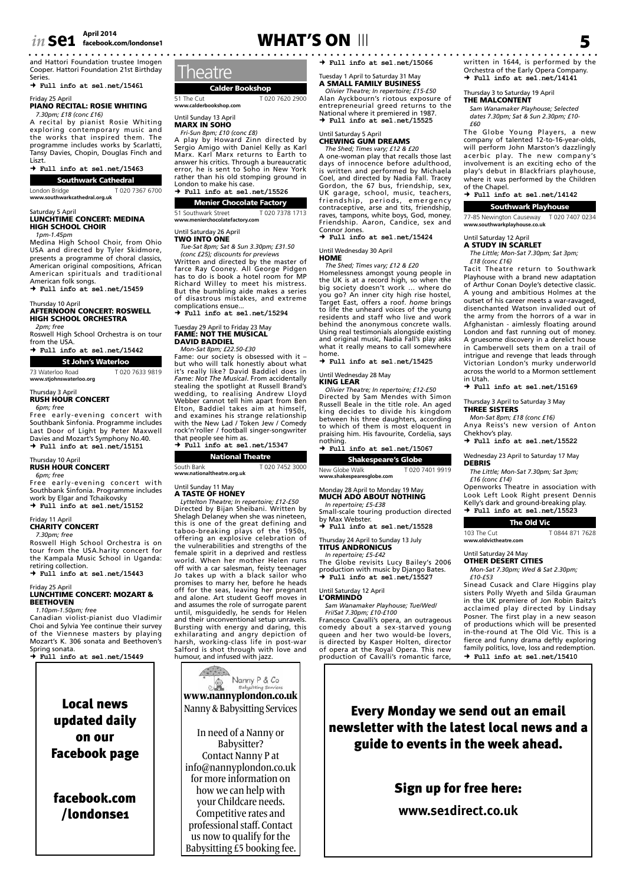# *in* Se1  $\overline{2}$   $\overline{2}$   $\overline{2}$   $\overline{2}$   $\overline{2}$   $\overline{2}$   $\overline{2}$   $\overline{2}$   $\overline{2}$   $\overline{2}$   $\overline{2}$   $\overline{2}$   $\overline{2}$   $\overline{2}$   $\overline{2}$   $\overline{2}$   $\overline{2}$   $\overline{2}$   $\overline{2}$   $\overline{2}$   $\overline{2}$   $\overline{2}$   $\overline{2}$   $\overline{$

and Hattori Foundation trustee Imogen Cooper. Hattori Foundation 21st Birthday **Series** 

 **Full info at se1.net/15461**

#### Friday 25 April PIANO RECITAL: ROSIE WHITING

*7.30pm; £18 (conc £16)*

A recital by pianist Rosie Whiting exploring contemporary music and the works that inspired them. The programme includes works by Scarlatti, Tansy Davies, Chopin, Douglas Finch and Liszt.  **Full info at se1.net/15463**

#### Southwark Cathedral

London Bridge T 020 7367 6700

**www.southwarkcathedral.org.uk**

#### urday 5 April LUNCHTIME CONCERT: MEDINA HIGH SCHOOL CHOIR

*1pm-1.45pm*

Medina High School Choir, from Ohio USA and directed by Tyler Skidmore, presents a programme of choral classics,

American original compositions, African American spirituals and traditional

American folk songs.  **Full info at se1.net/15459**

#### Thursday 10 April AFTERNOON CONCERT: ROSWELL HIGH SCHOOL ORCHESTRA

*2pm; free* Roswell High School Orchestra is on tour

#### from the USA.  **Full info at se1.net/15442**

St John's Waterloo

73 Waterloo Road T 020 7633 9819

**www.stjohnswaterloo.org**

#### Thursday 3 April RUSH HOUR CONCERT

*6pm; free*

Free early-evening concert with Southbank Sinfonia. Programme includes Last Door of Light by Peter Maxwell Davies and Mozart's Symphony No.40.  $+$   $Ful$  info at sel net/15151

#### Irsday 10 April RUSH HOUR CONCERT

*6pm; free*

Free early-evening concert with Southbank Sinfonia. Programme includes work by Elgar and Tchaikovsky  **Full info at se1.net/15152**

# Friday 11 April<br>**CHARITY CONCERT**

*7.30pm; free*

Roswell High School Orchestra is on tour from the USA.harity concert for the Kampala Music School in Uganda: retiring collection.

 **Full info at se1.net/15443**

#### Friday 25 April LUNCHTIME CONCERT: MOZART & BEETHOVEN *1.10pm-1.50pm; free*

Canadian violist-pianist duo Vladimir Choi and Sylvia Yee continue their survey of the Viennese masters by playing Mozart's K. 306 sonata and Beethoven's Spring sonata.  **Full info at se1.net/15449**

Local news updated daily on our Facebook page

facebook.com /londonse1

# April 2014<br>facebook.com/londonse1 **5 WHAT'S ON** III **1980 11 12 13 14 14 14 15 16 17 18 19 19 19 19 19 19 19 19 19 19 19**

**Theatre** 

**www.calderbookshop.com** Until Sunday 13 April MARX IN SOHO *Fri-Sun 8pm; £10 (conc £8)* 

London to make his case.  **Full info at se1.net/15526** Menier Chocolate Factory 51 Southwark Street T 020 7378 1713 **www.menierchocolatefactory.com**

Until Saturday 26 April TWO INTO ONE

complications ensue.

Calder Bookshop 51 The Cut T 020 7620 2900

A play by Howard Zinn directed by Sergio Amigo with Daniel Kelly as Karl Marx. Karl Marx returns to Earth to answer his critics. Through a bureaucratic error, he is sent to Soho in New York rather than his old stomping ground in

*Tue-Sat 8pm; Sat & Sun 3.30pm; £31.50 (conc £25); discounts for previews* Written and directed by the master of farce Ray Cooney. All George Pidgen has to do is book a hotel room for MP

Richard Willey to meet his mistress. But the bumbling aide makes a series of disastrous mistakes, and extreme

*Mon-Sat 8pm; £22.50-£30* Fame: our society is obsessed with it – but who will talk honestly about what it's really like? David Baddiel does in *Fame: Not The Musical*. From accidentally stealing the spotlight at Russell Brand's wedding, to realising Andrew Lloyd Webber cannot tell him apart from Ben Elton, Baddiel takes aim at himself, and examines his strange relationship with the New Lad / Token Jew / Comedy rock'n'roller / football singer-songwriter that people see him as.  **Full info at se1.net/15347**

 **Full info at se1.net/15294**

Tuesday 29 April to Friday 23 May FAME: NOT THE MUSICAL DAVID BADDIEL

 **Full info at se1.net/15066**

#### day 1 April to Saturday 31 May A SMALL FAMILY BUSINESS

*Olivier Theatre; In repertoire; £15-£50* Alan Ayckbourn's riotous exposure of entrepreneurial greed returns to the National where it premiered in 1987.  **Full info at se1.net/15525**

# Until Saturday 5 April<br>**CHEWING GUM DREAMS**

*The Shed; Times vary; £12 & £20* A one-woman play that recalls those last days of innocence before adulthood, is written and performed by Michaela Coel, and directed by Nadia Fall. Tracey<br>Gordon, the 67 bus, friendship, sex,<br>UK garage, school, music, teachers,<br>friendship, periods, emergency<br>contraceptive, are and tits, friendship,<br>raves, tampons, white boys, God, mon Friendship. Aaron, Candice, sex and Connor Jones.  **Full info at se1.net/15424**

#### Until Wednesday 30 April **HOME**

*The Shed; Times vary; £12 & £20* Homelessness amongst young people in the UK is at a record high, so when the big society doesn't work … where do<br>you go? An inner city high rise hostel,<br>Target East, offers a roof. *home* brings<br>to life the unheard voices of the young<br>residents and staff who live and work behind the anonymous concrete walls. Using real testimonials alongside existing and original music, Nadia Fall's play asks what it really means to call somewhere home.

 **Full info at se1.net/15425**

#### Until Wednesday 28 May

KING LEAR *Olivier Theatre; In repertoire; £12-£50* Directed by Sam Mendes with Simon Russell Beale in the title role. An aged king decides to divide his kingdom between his three daughters, according to which of them is most eloquent in praising him. His favourite, Cordelia, says

nothing.  **Full info at se1.net/15067**

#### Shakespeare's Globe

New Globe Walk T 020 7401 9919 **www.shakespearesglobe.com**

#### Monday 28 April to Monday 19 May MUCH ADO ABOUT NOTHING

#### *In repertoire; £5-£38* Small-scale touring production directed

by Max Webster.  **Full info at se1.net/15528**

#### Thursday 24 April to Sunday 13 July TITUS ANDRONICUS

#### *In repertoire; £5-£42*

The Globe revisits Lucy Bailey's 2006 production with music by Django Bates.  **Full info at se1.net/15527**

#### Until Saturday 12 April

L'ORMINDO *Sam Wanamaker Playhouse; Tue/Wed/ Fri/Sat 7.30pm; £10-£100*

Francesco Cavalli's opera, an outrageous comedy about a sex-starved young queen and her two would-be lovers, is directed by Kasper Holten, director of opera at the Royal Opera. This new production of Cavalli's romantic farce,

written in 1644, is performed by the Orchestra of the Early Opera Company.  **Full info at se1.net/14141**

#### Thursday 3 to Saturday 19 April THE MALCONTENT

*Sam Wanamaker Playhouse; Selected dates 7.30pm; Sat & Sun 2.30pm; £10- £60*

The Globe Young Players, a new company of talented 12-to-16-year-olds, will perform John Marston's dazzlingly acerbic play. The new company's involvement is an exciting echo of the play's debut in Blackfriars playhouse, where it was performed by the Children of the Chapel.

#### **Full info at se1.net/14142**

Southwark Playhouse 77-85 Newington Causeway T 020 7407 0234 **www.southwarkplayhouse.co.uk**

## Until Saturday 12 April<br>**A STUDY IN SCARLET**

*The Little; Mon-Sat 7.30pm; Sat 3pm; £18 (conc £16)*

Tacit Theatre return to Southwark Playhouse with a brand new adaptation of Arthur Conan Doyle's detective classic. A young and ambitious Holmes at the outset of his career meets a war-ravaged, disenchanted Watson invalided out of the army from the horrors of a war in Afghanistan - aimlessly floating around London and fast running out of money. A gruesome discovery in a derelict house in Camberwell sets them on a trail of intrigue and revenge that leads through Victorian London's murky underworld across the world to a Mormon settlement in Utah.

 **Full info at se1.net/15169**

#### Thursday 3 April to Saturday 3 May THREE SISTERS

#### *Mon-Sat 8pm; £18 (conc £16)*

Anya Reiss's new version of Anton Chekhov's play.  **Full info at se1.net/15522**

Wednesday 23 April to Saturday 17 May **DEBRIS** 

*The Little; Mon-Sat 7.30pm; Sat 3pm; £16 (conc £14)*

Openworks Theatre in association with Look Left Look Right present Dennis Kelly's dark and ground-breaking play.  **Full info at se1.net/15523**

#### The Old Vic

103 The Cut T 0844 871 7628 **www.oldvictheatre.com**

#### Until Saturday 24 May

OTHER DESERT CITIES *Mon-Sat 7.30pm; Wed & Sat 2.30pm; £10-£53*

Sinead Cusack and Clare Higgins play sisters Polly Wyeth and Silda Grauman in the UK premiere of Jon Robin Baitz's acclaimed play directed by Lindsay Posner. The first play in a new season of productions which will be presented in-the-round at The Old Vic. This is a fierce and funny drama deftly exploring family politics, love, loss and redemption.  **Full info at se1.net/15410**

## Every Monday we send out an email newsletter with the latest local news and a guide to events in the week ahead.

Sign up for free here: **www.se1direct.co.uk**



taboo-breaking plays of the 1950s, offering an explosive celebration of the vulnerabilities and strengths of the female spirit in a deprived and restless world. When her mother Helen runs off with a car salesman, feisty teenager Jo takes up with a black sailor who promises to marry her, before he heads off for the seas, leaving her pregnant and alone. Art student Geoff moves in and assumes the role of surrogate parent until, misguidedly, he sends for Helen and their unconventional setup unravels. Bursting with energy and daring, this exhilarating and angry depiction of harsh, working-class life in post-war Salford is shot through with love and humour, and infused with jazz.



Nanny & Babysitting Services

In need of a Nanny or Babysitter? Contact Nanny P at info@nannyplondon.co.uk for more information on how we can help with your Childcare needs. Competitive rates and professional staff. Contact us now to qualify for the Babysitting £5 booking fee.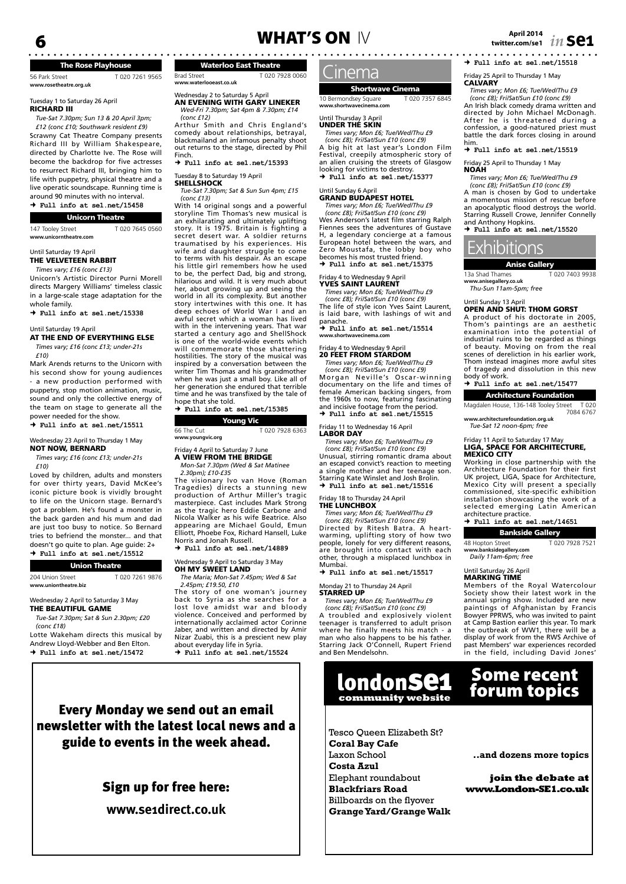## The Rose Playhouse

| 56 Park Street<br>www.rosetheatre.org.uk | T020 7261 9565 |
|------------------------------------------|----------------|
|                                          |                |

#### Tuesday 1 to Saturday 26 April RICHARD III

*Tue-Sat 7.30pm; Sun 13 & 20 April 3pm; £12 (conc £10; Southwark resident £9)* Scrawny Cat Theatre Company presents Richard III by William Shakespeare, directed by Charlotte Ive. The Rose will become the backdrop for five actresses to resurrect Richard III, bringing him to life with puppetry, physical theatre and a live operatic soundscape. Running time is around 90 minutes with no interval.  **Full info at se1.net/15458**

| <b>Unicorn Theatre</b> |  |
|------------------------|--|

| 147 Tooley Street      | T020 7645 0560 |
|------------------------|----------------|
| www.unicorntheatre.com |                |

Until Saturday 19 April

#### THE VELVETEEN RABBIT *Times vary; £16 (conc £13)*

Unicorn's Artistic Director Purni Morell directs Margery Williams' timeless classic in a large-scale stage adaptation for the whole family.

 **Full info at se1.net/15338**

#### Until Saturday 19 April **AT THE END OF EVERYTHING ELSE**

#### *Times vary; £16 (conc £13; under-21s*

*£10)*

Mark Arends returns to the Unicorn with his second show for young audiences - a new production performed with puppetry, stop motion animation, music, sound and only the collective energy of the team on stage to generate all the power needed for the show.

 **Full info at se1.net/15511**

#### Wednesday 23 April to Thursday 1 May

NOT NOW, BERNARD *Times vary; £16 (conc £13; under-21s* 

*£10)* Loved by children, adults and monsters

for over thirty years, David McKee's iconic picture book is vividly brought to life on the Unicorn stage. Bernard's got a problem. He's found a monster in the back garden and his mum and dad are just too busy to notice. So Bernard tries to befriend the monster... and that doesn't go quite to plan. Age guide: 2+  **Full info at se1.net/15512**

|  | <b>Union Theatre</b> |  |
|--|----------------------|--|
|  |                      |  |

204 Union Street T 020 7261 9876 **www.uniontheatre.biz**

Wednesday 2 April to Saturday 3 May THE BEAUTIFUL GAME

*Tue-Sat 7.30pm; Sat & Sun 2.30pm; £20* 

*(conc £18)* Lotte Wakeham directs this musical by Andrew Lloyd-Webber and Ben Elton.  $\rightarrow$   $Ful$  info at sel net/15472

# **April 2014** 6 WHAT'S ON IV **twitter.com/se1** *in* **se1**

Waterloo East Theatre Brad Street T 020 7928 0060

**www.waterlooeast.co.uk** Wednesday 2 to Saturday 5 April<br>**AN EVENING WITH GARY LINEKER** 

*Wed-Fri 7.30pm; Sat 4pm & 7.30pm; £14 (conc £12)*

Arthur Smith and Chris England's comedy about relationships, betrayal, blackmailand an infamous penalty shoot out returns to the stage, directed by Phil Finch.

 **Full info at se1.net/15393**

Tuesday 8 to Saturday 19 April

#### **SHELLSHOCK** *Tue-Sat 7.30pm; Sat & Sun Sun 4pm; £15 (conc £13)*

With 14 original songs and a powerful storyline Tim Thomas's new musical is an exhilarating and ultimately uplifting story. It is 1975. Britain is fighting a story. It is 1575. Britann is righting a traumatised by his experiences. His wife and daughter struggle to come to terms with his despair. As an escape his little girl remembers how he used to be, the perfect Dad, big and strong, hilarious and wild. It is very much about her, about growing up and seeing the world in all its complexity. But another story intertwines with this one. It has deep echoes of World War I and an awful secret which a woman has lived with in the intervening years. That war started a century ago and ShellShock is one of the world-wide events which will commemorate those shattering hostilities. The story of the musical was inspired by a conversation between the writer Tim Thomas and his grandmother when he was just a small boy. Like all of her generation she endured that terrible time and he was transfixed by the tale of hope that she told.

 **Full info at se1.net/15385**

| Young Vic        |                |  |  |
|------------------|----------------|--|--|
| 66 The Cut       | T020 7928 6363 |  |  |
| www.youngvic.org |                |  |  |

#### Friday 4 April to Saturday 7 June A VIEW FROM THE BRIDGE *Mon-Sat 7.30pm (Wed & Sat Matinee*

*2.30pm); £10-£35* The visionary Ivo van Hove (Roman Tragedies) directs a stunning new production of Arthur Miller's tragic masterpiece. Cast includes Mark Strong as the tragic hero Eddie Carbone and Nicola Walker as his wife Beatrice. Also appearing are Michael Gould, Emun Elliott, Phoebe Fox, Richard Hansell, Luke Norris and Jonah Russell.

 **Full info at se1.net/14889**

Wednesday 9 April to Saturday 3 May<br>**OH MY SWEET LAND** 

*The Maria; Mon-Sat 7.45pm; Wed & Sat 2.45pm; £19.50, £10*

The story of one woman's journey back to Syria as she searches for a lost love amidst war and bloody violence. Conceived and performed by internationally acclaimed actor Corinne Jaber, and written and directed by Amir Nizar Zuabi, this is a prescient new play about everyday life in Syria.  **Full info at se1.net/15524**

## Cinema

## Shortwave Cinema

10 Bermondsey Square T 020 7357 6845 **www.shortwavecinema.com**

### Until Thursday 3 April<br>**UNDER THE SKIN**

*Times vary; Mon £6; Tue/Wed/Thu £9 (conc £8); Fri/Sat/Sun £10 (conc £9)* A big hit at last year's London Film Festival, creepily atmospheric story of an alien cruising the streets of Glasgow looking for victims to destroy.

 **Full info at se1.net/15377**

#### Until Sunday 6 April GRAND BUDAPEST HOTEL

*Times vary; Mon £6; Tue/Wed/Thu £9 (conc £8); Fri/Sat/Sun £10 (conc £9)* Wes Anderson's latest film starring Ralph Fiennes sees the adventures of Gustave H, a legendary concierge at a famous European hotel between the wars, and Zero Moustafa, the lobby boy who becomes his most trusted friend.  **Full info at se1.net/15375**

### Friday 4 to Wednesday 9 April YVES SAINT LAURENT

*Times vary; Mon £6; Tue/Wed/Thu £9 (conc £8); Fri/Sat/Sun £10 (conc £9)* The life of style icon Yves Saint Laurent,

is laid bare, with lashings of wit and panache.  **Full info at se1.net/15514**

**www.shortwavecinema.com**

### Friday 4 to Wednesday 9 April 20 FEET FROM STARDOM

*Times vary; Mon £6; Tue/Wed/Thu £9 (conc £8); Fri/Sat/Sun £10 (conc £9)* Morgan Neville's Oscar-winning documentary on the life and times of female American backing singers, from the 1960s to now, featuring fascinating and incisive footage from the period.  $+$  Full info at sel.net/15515

Friday 11 to Wednesday 16 April<br>**LABOR DAY** 

*Times vary; Mon £6; Tue/Wed/Thu £9 (conc £8); Fri/Sat/Sun £10 (conc £9)* Unusual, stirring romantic drama about an escaped convict's reaction to meeting a single mother and her teenage son. Starring Kate Winslet and Josh Brolin.  **Full info at se1.net/15516**

#### Friday 18 to Thursday 24 April

THE LUNCHBOX *Times vary; Mon £6; Tue/Wed/Thu £9* 

*(conc £8); Fri/Sat/Sun £10 (conc £9)* Directed by Ritesh Batra. A heartwarming, uplifting story of how two people, lonely for very different reasons, are brought into contact with each other, through a misplaced lunchbox in Mumbai.

 **Full info at se1.net/15517**

#### Monday 21 to Thursday 24 April STARRED UP

*Times vary; Mon £6; Tue/Wed/Thu £9 (conc £8); Fri/Sat/Sun £10 (conc £9)* A troubled and explosively violent teenager is transferred to adult prison

where he finally meets his match man who also happens to be his father. Starring Jack O'Connell, Rupert Friend and Ben Mendelsohn.



Tesco Queen Elizabeth St? **Coral Bay Cafe** Laxon School **Costa Azul**  Elephant roundabout **Blackfriars Road** Billboards on the flyover **Grange Yard/Grange Walk**   **Full info at se1.net/15518**

Friday 25 April to Thursday 1 May **CALVARY** 

*Times vary; Mon £6; Tue/Wed/Thu £9 (conc £8); Fri/Sat/Sun £10 (conc £9)* An Irish black comedy drama written and directed by John Michael McDonagh. After he is threatened during a confession, a good-natured priest must battle the dark forces closing in around him.

 **Full info at se1.net/15519**

# Friday 25 April to Thursday 1 May<br>NOAH

*Times vary; Mon £6; Tue/Wed/Thu £9 (conc £8); Fri/Sat/Sun £10 (conc £9)*

A man is chosen by God to undertake a momentous mission of rescue before an apocalyptic flood destroys the world. Starring Russell Crowe, Jennifer Connelly and Anthony Hopkins.

 **Full info at se1.net/15520**

# Exhibitions

Anise Gallery

13a Shad Thames T 020 7403 9938 **www.anisegallery.co.uk** *Thu-Sun 11am-5pm; free*

#### Until Sunday 13 April OPEN AND SHUT: THOM GORST

A product of his doctorate in 2005, Thom's paintings are an aesthetic examination into the potential of industrial ruins to be regarded as things of beauty. Moving on from the real scenes of dereliction in his earlier work, Thom instead imagines more awful sites of tragedy and dissolution in this new body of work.

 **Full info at se1.net/15477** Architecture Foundation

Magdalen House, 136-148 Tooley Street T 020 7084 6767

**www.architecturefoundation.org.uk** *Tue-Sat 12 noon-6pm; free*

#### Friday 11 April to Saturday 17 May LIGA, SPACE FOR ARCHITECTURE, MEXICO CITY

Working in close partnership with the Architecture Foundation for their first UK project, LIGA, Space for Architecture, Mexico City will present a specially commissioned, site-specific exhibition installation showcasing the work of a selected emerging Latin American architecture practice.

#### **Full info at se1.net/14651**

Bankside Gallery 48 Hopton Street T 020 7928 7521 **www.banksidegallery.com** *Daily 11am-6pm; free*

### Until Saturday 26 April MARKING TIME

Members of the Royal Watercolour Society show their latest work in the annual spring show. Included are new paintings of Afghanistan by Francis Bowyer PPRWS, who was invited to paint at Camp Bastion earlier this year. To mark the outbreak of WW1, there will be a display of work from the RWS Archive of past Members' war experiences recorded in the field, including David Jones'

# Some recent forum topics

**..and dozens more topics**

**join the debate at www.London-SE1.co.uk**

Every Monday we send out an email newsletter with the latest local news and a guide to events in the week ahead.

# Sign up for free here:

**www.se1direct.co.uk**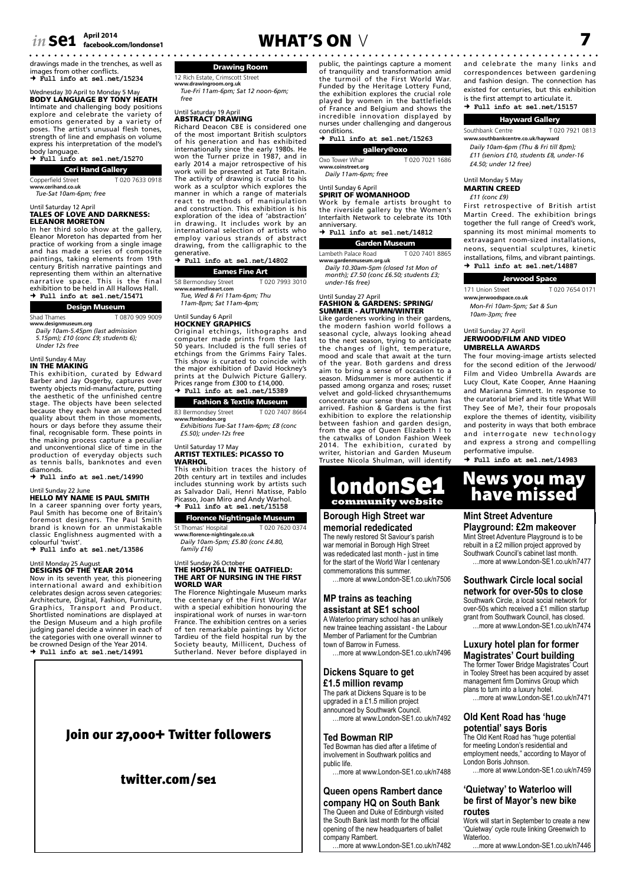# *in* **se1**  $\frac{\text{April 2014}}{\text{facebook.com/ondonse1}}$  **W**

drawings made in the trenches, as well as

images from other conflicts.  **Full info at se1.net/15234**

#### Wednesday 30 April to Monday 5 M BODY LANGUAGE BY TONY HEATH

Intimate and challenging body positions explore and celebrate the variety of emotions generated by a variety of poses. The artist's unusual flesh tones, strength of line and emphasis on volume express his interpretation of the model's body language.

#### **Full info at se1.net/15270**

Ceri Hand Gallery

Copperfield Street T 020 7633 0918 **www.cerihand.co.uk** *Tue-Sat 10am-6pm; free*

# Until Saturday 12 April TALES OF LOVE AND DARKNESS: ELEANOR MORETON

In her third solo show at the gallery, Eleanor Moreton has departed from her practice of working from a single image and has made a series of composite paintings, taking elements from 19th century British narrative paintings and representing them within an alternative narrative space. This is the final exhibition to be held in All Hallows Hall.  **Full info at se1.net/15471**

#### Design Museum

| Shad Thames          | T0870 909 9009 |
|----------------------|----------------|
| www.designmuseum.org |                |

**www.designmuseum.org** *Daily 10am-5.45pm (last admission 5.15pm); £10 (conc £9; students 6); Under 12s free*

## Until Sunday 4 May IN THE MAKING

This exhibition, curated by Edward Barber and Jay Osgerby, captures over twenty objects mid-manufacture, putting the aesthetic of the unfinished centre stage. The objects have been selected because they each have an unexpected quality about them in those moments, hours or days before they assume their final, recognisable form. These points in the making process capture a peculiar and unconventional slice of time in the production of everyday objects such as tennis balls, banknotes and even diamonds.

 **Full info at se1.net/14990**

#### Until Sunday 22 June

HELLO MY NAME IS PAUL SMITH

In a career spanning over forty years, Paul Smith has become one of Britain's foremost designers. The Paul Smith brand is known for an unmistakable classic Englishness augmented with a

colourful 'twist'.  **Full info at se1.net/13586**

# Until Monday 25 August<br>**DESIGNS OF THE YEAR 2014**<br>Now in its seventh year, this pioneering

international award and exhibition celebrates design across seven categories: Architecture, Digital, Fashion, Furniture,<br>Graphics, Transport and Product.<br>Shortlisted nominations are displayed at<br>the Design Museum and a high profile<br>judging panel decide a winner in each of<br>the categories with one ove be crowned Design of the Year 2014.  **Full info at se1.net/14991**

#### Drawing Room 12 Rich Estate, Crimscott Street

**www.drawingroom.org.uk** *Tue-Fri 11am-6pm; Sat 12 noon-6pm; free*

## Until Saturday 19 April ABSTRACT DRAWING

Richard Deacon CBE is considered one of the most important British sculptors of his generation and has exhibited internationally since the early 1980s. He won the Turner prize in 1987, and in early 2014 a major retrospective of his work will be presented at Tate Britain. The activity of drawing is crucial to his work as a sculptor which explores the manner in which a range of materials react to methods of manipulation and construction. This exhibition is his exploration of the idea of 'abstraction' in drawing. It includes work by an international selection of artists who employ various strands of abstract drawing, from the calligraphic to the generative.  **Full info at se1.net/14802**

Eames Fine Art 58 Bermondsey Street T 020 7993 3010 **www.eamesfineart.com**

*Tue, Wed & Fri 11am-6pm; Thu 11am-8pm; Sat 11am-4pm;* 

#### Until Sunday 6 April

HOCKNEY GRAPHICS Original etchings, lithographs and computer made prints from the last 50 years. Included is the full series of etchings from the Grimms Fairy Tales. This show is curated to coincide with the major exhibition of David Hockney's prints at the Dulwich Picture Gallery. Prices range from £300 to £14,000.  **Full info at se1.net/15389**

#### Fashion & Textile Museum

83 Bermondsey Street T 020 7407 8664 **www.ftmlondon.org** *Exhibitions Tue-Sat 11am-6pm; £8 (conc* 

*£5.50); under-12s free*

#### Until Saturday 17 May ARTIST TEXTILES: PICASSO TO WARHOL This exhibition traces the history of

20th century art in textiles and includes includes stunning work by artists such as Salvador Dali, Henri Matisse, Pablo Picasso, Joan Miro and Andy Warhol.  **Full info at se1.net/15158**

## Florence Nightingale Museum

St Thomas' Hospital T 020 7620 0374 **www.florence-nightingale.co.uk**

*Daily 10am-5pm; £5.80 (conc £4.80, family £16)*

#### Until Sunday 26 October THE HOSPITAL IN THE OATFIELD: THE ART OF NURSING IN THE FIRST WORLD WAR

The Florence Nightingale Museum marks the centenary of the First World War with a special exhibition honouring the inspirational work of nurses in war-torn France. The exhibition centres on a series of ten remarkable paintings by Victor Tardieu of the field hospital run by the Society beauty, Millicent, Duchess of Sutherland. Never before displayed in



### twitter.com/se1

public, the paintings capture a moment of tranquility and transformation amid the turmoil of the First World War. Funded by the Heritage Lottery Fund, the exhibition explores the crucial role played by women in the battlefields of France and Belgium and shows the incredible innovation displayed by nurses under challenging and dangerous conditions.  **Full info at se1.net/15263**

gallery@oxo Oxo Tower Whar T 020 7021 1686 **www.coinstreet.org**

*Daily 11am-6pm; free*

#### Until Sunday 6 April SPIRIT OF WOMANHOOD

Work by female artists brought to the riverside gallery by the Women's Interfaith Network to celebrate its 10th anniversary.

#### **Full info at se1.net/14812**

Garden Museum Lambeth Palace Road T 020 7401 8865 **www.gardenmuseum.org.uk**

*Daily 10.30am-5pm (closed 1st Mon of month); £7.50 (conc £6.50; students £3; under-16s free)*

## Until Sunday 27 April<br>**FASHION & GARDENS: SPRING**

SUMMER - AUTUMN/WINTER Like gardeners working in their gardens, the modern fashion world follows a seasonal cycle, always looking ahead to the next season, trying to anticipate the changes of light, temperature, mood and scale that await at the turn of the year. Both gardens and dress aim to bring a sense of occasion to a season. Midsummer is more authentic if passed among organza and roses; russet velvet and gold-licked chrysanthemums concentrate our sense that autumn has arrived. Fashion & Gardens is the first exhibition to explore the relationship between fashion and garden design, from the age of Queen Elizabeth I to the catwalks of London Fashion Week 2014. The exhibition, curated by writer, historian and Garden Museum Trustee Nicola Shulman, will identify



#### **Borough High Street war**

**memorial rededicated** The newly restored St Saviour's parish war memorial in Borough High Street was rededicated last month - just in time for the start of the World War I centenary commemorations this summer.

…more at www.London-SE1.co.uk/n7506

#### **MP trains as teaching assistant at SE1 school**

A Waterloo primary school has an unlikely new trainee teaching assistant - the Labour Member of Parliament for the Cumbrian town of Barrow in Furness.

…more at www.London-SE1.co.uk/n7496

#### **Dickens Square to get £1.5 million revamp**

The park at Dickens Square is to be upgraded in a £1.5 million project announced by Southwark Council. …more at www.London-SE1.co.uk/n7492

#### **Ted Bowman RIP**

Ted Bowman has died after a lifetime of involvement in Southwark politics and public life. …more at www.London-SE1.co.uk/n7488

# **Queen opens Rambert dance**

**company HQ on South Bank** The Queen and Duke of Edinburgh visited the South Bank last month for the official opening of the new headquarters of ballet company Rambert.

…more at www.London-SE1.co.uk/n7482

**facebook.com/londonse1** WHAT'S ON V 7 and celebrate the many links and correspondences between gardening and fashion design. The connection has existed for centuries, but this exhibition is the first attempt to articulate it.  **Full info at se1.net/15157**

#### Hayward Gallery

Southbank Centre T 020 7921 0813 **www.southbankcentre.co.uk/hayward**

*Daily 10am-6pm (Thu & Fri till 8pm); £11 (seniors £10, students £8, under-16* 

*£4.50; under 12 free)*

#### Until Monday 5 May MARTIN CREED

*£11 (conc £9)*

First retrospective of British artist Martin Creed. The exhibition brings together the full range of Creed's work, spanning its most minimal moments to extravagant room-sized installations, neons, sequential sculptures, kinetic installations, films, and vibrant paintings.  **Full info at se1.net/14887**

| Jerwood Space               |                |  |  |
|-----------------------------|----------------|--|--|
| 171 Union Street            | T020 7654 0171 |  |  |
| www.jerwoodspace.co.uk      |                |  |  |
| Mon-Fri 10am-5pm; Sat & Sun |                |  |  |

*10am-3pm; free*

#### Until Sunday 27 April JERWOOD/FILM AND VIDEO UMBRELLA AWARDS

The four moving-image artists selected for the second edition of the Jerwood/ Film and Video Umbrella Awards are Lucy Clout, Kate Cooper, Anne Haaning and Marianna Simnett. In response to the curatorial brief and its title What Will They See of Me?, their four proposals explore the themes of identity, visibility and posterity in ways that both embrace and interrogate new technology and express a strong and compelling performative impulse.

 **Full info at se1.net/14983**

# News you may have missed

#### **Mint Street Adventure**

**Playground: £2m makeover** Mint Street Adventure Playground is to be rebuilt in a £2 million project approved by Southwark Council's cabinet last month. …more at www.London-SE1.co.uk/n7477

**Southwark Circle local social network for over-50s to close**

Southwark Circle, a local social network for over-50s which received a £1 million startup grant from Southwark Council, has closed. …more at www.London-SE1.co.uk/n7474

#### **Luxury hotel plan for former Magistrates' Court building**

The former Tower Bridge Magistrates' Court in Tooley Street has been acquired by asset management firm Dominvs Group which plans to turn into a luxury hotel. …more at www.London-SE1.co.uk/n7471

#### **Old Kent Road has 'huge potential' says Boris**

The Old Kent Road has "huge potential for meeting London's residential and employment needs," according to Mayor of London Boris Johnson. …more at www.London-SE1.co.uk/n7459

#### **'Quietway' to Waterloo will be first of Mayor's new bike routes**

Work will start in September to create a new 'Quietway' cycle route linking Greenwich to Waterloo.

…more at www.London-SE1.co.uk/n7446